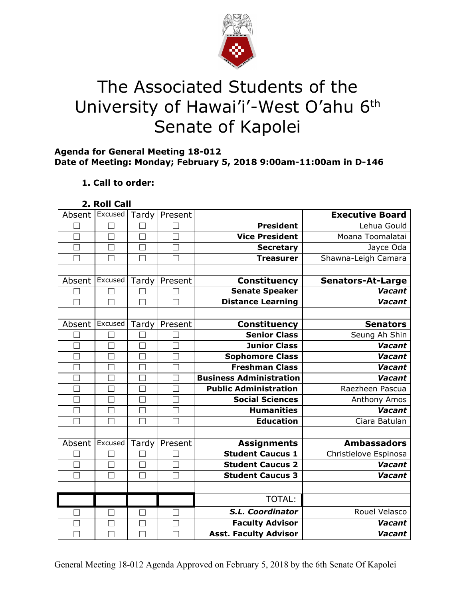

# The Associated Students of the University of Hawai'i'-West O'ahu 6<sup>th</sup> Senate of Kapolei

#### **Agenda for General Meeting 18-012 Date of Meeting: Monday; February 5, 2018 9:00am-11:00am in D-146**

## **1. Call to order:**

**2. Roll Call**

| Absent       | Excused       | Tardy             | Present |                                | <b>Executive Board</b>   |
|--------------|---------------|-------------------|---------|--------------------------------|--------------------------|
|              |               |                   |         | President                      | Lehua Gould              |
| $\Box$       | П             | $\Box$            |         | <b>Vice President</b>          | Moana Toomalatai         |
|              | $\mathcal{L}$ |                   |         | <b>Secretary</b>               | Jayce Oda                |
|              | П             | $\Box$            |         | <b>Treasurer</b>               | Shawna-Leigh Camara      |
|              |               |                   |         |                                |                          |
| Absent       | Excused       | Tardy             | Present | Constituency                   | <b>Senators-At-Large</b> |
|              | $\mathcal{L}$ |                   |         | <b>Senate Speaker</b>          | Vacant                   |
| П            | П             | $\Box$            |         | <b>Distance Learning</b>       | <b>Vacant</b>            |
|              |               |                   |         |                                |                          |
| Absent       | Excused       | Tardy             | Present | <b>Constituency</b>            | <b>Senators</b>          |
|              | $\Box$        |                   | $\Box$  | <b>Senior Class</b>            | Seung Ah Shin            |
|              | ×.            |                   |         | <b>Junior Class</b>            | Vacant                   |
|              | $\mathcal{L}$ | $\Box$            |         | Sophomore Class                | <b>Vacant</b>            |
|              | $\Box$        | $\Box$            |         | <b>Freshman Class</b>          | <b>Vacant</b>            |
|              | Г             | Г                 |         | <b>Business Administration</b> | Vacant                   |
| $\mathbf{L}$ | $\Box$        | Г                 |         | <b>Public Administration</b>   | Raezheen Pascua          |
| $\mathbf{I}$ | H.            | $\vert \ \ \vert$ |         | <b>Social Sciences</b>         | Anthony Amos             |
| $\Box$       | $\Box$        | $\Box$            | П       | <b>Humanities</b>              | <b>Vacant</b>            |
| □            | ٦             | $\Box$            |         | <b>Education</b>               | Ciara Batulan            |
|              |               |                   |         |                                |                          |
| Absent       | Excused       | Tardy             | Present | <b>Assignments</b>             | <b>Ambassadors</b>       |
|              |               |                   |         | <b>Student Caucus 1</b>        | Christielove Espinosa    |
|              | $\Box$        | $\Box$            |         | <b>Student Caucus 2</b>        | <b>Vacant</b>            |
|              | □             | П                 |         | <b>Student Caucus 3</b>        | <b>Vacant</b>            |
|              |               |                   |         |                                |                          |
|              |               |                   |         | TOTAL:                         |                          |
|              | $\mathcal{L}$ | $\vert \ \ \vert$ |         | S.L. Coordinator               | Rouel Velasco            |
|              |               |                   |         | <b>Faculty Advisor</b>         | <b>Vacant</b>            |
|              | $\Box$        |                   |         | <b>Asst. Faculty Advisor</b>   | <b>Vacant</b>            |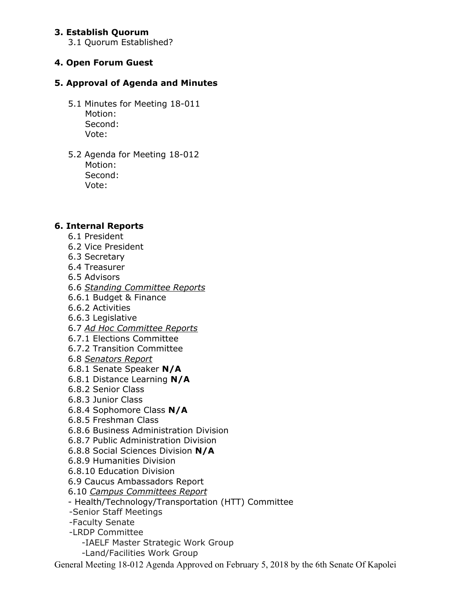## **3. Establish Quorum**

3.1 Quorum Established?

# **4. Open Forum Guest**

## **5. Approval of Agenda and Minutes**

- 5.1 Minutes for Meeting 18-011 Motion: Second: Vote:
- 5.2 Agenda for Meeting 18-012 Motion: Second: Vote:

#### **6. Internal Reports**

- 6.1 President
- 6.2 Vice President
- 6.3 Secretary
- 6.4 Treasurer
- 6.5 Advisors
- 6.6 *Standing Committee Reports*
- 6.6.1 Budget & Finance
- 6.6.2 Activities
- 6.6.3 Legislative
- 6.7 *Ad Hoc Committee Reports*
- 6.7.1 Elections Committee
- 6.7.2 Transition Committee
- 6.8 *Senators Report*
- 6.8.1 Senate Speaker **N/A**
- 6.8.1 Distance Learning **N/A**
- 6.8.2 Senior Class
- 6.8.3 Junior Class
- 6.8.4 Sophomore Class **N/A**
- 6.8.5 Freshman Class
- 6.8.6 Business Administration Division
- 6.8.7 Public Administration Division
- 6.8.8 Social Sciences Division **N/A**
- 6.8.9 Humanities Division
- 6.8.10 Education Division
- 6.9 Caucus Ambassadors Report
- 6.10 *Campus Committees Report*
- Health/Technology/Transportation (HTT) Committee
- -Senior Staff Meetings
- -Faculty Senate
- -LRDP Committee
	- -IAELF Master Strategic Work Group
	- -Land/Facilities Work Group

General Meeting 18-012 Agenda Approved on February 5, 2018 by the 6th Senate Of Kapolei